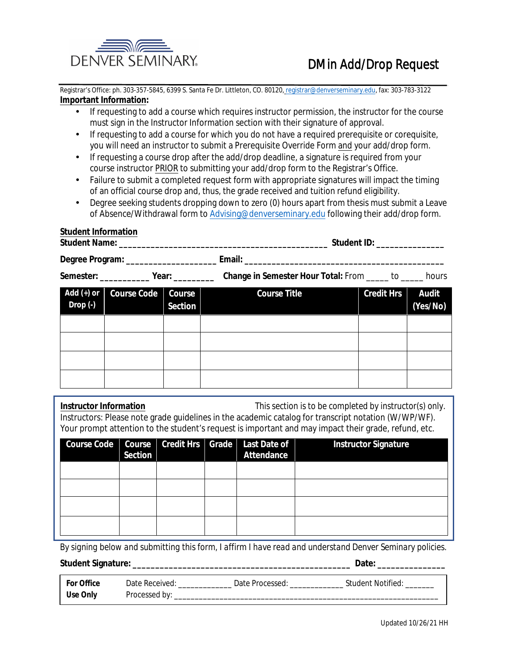

**Student ID:** 

Registrar's Office: ph. 303-357-5845, 6399 S. Santa Fe Dr. Littleton, CO. 80120, registrar@denverseminary.edu, fax: 303-783-3122 **Important Information:** 

- If requesting to add a course which requires instructor permission, the instructor for the course must sign in the Instructor Information section with their signature of approval.
- If requesting to add a course for which you do not have a required prerequisite or corequisite, you will need an instructor to submit a Prerequisite Override Form and your add/drop form.
- If requesting a course drop after the add/drop deadline, a signature is required from your course instructor PRIOR to submitting your add/drop form to the Registrar's Office.
- Failure to submit a completed request form with appropriate signatures will impact the timing of an official course drop and, thus, the grade received and tuition refund eligibility.
- Degree seeking students dropping down to zero (0) hours apart from thesis must submit a Leave of Absence/Withdrawal form to Advising@denverseminary.edu following their add/drop form.

# **Student Information**

**Student Name:** 

| 1 Z II | <b>Degree Program:</b> | - 1 |  |
|--------|------------------------|-----|--|
|--------|------------------------|-----|--|

| Semester:                 |                    | <b>Example 1</b> Year:          | <b>Change in Semester Hour Total: From ______ to _____</b> |                   | hours                    |
|---------------------------|--------------------|---------------------------------|------------------------------------------------------------|-------------------|--------------------------|
| Add (+) or<br>$Drop( - )$ | <b>Course Code</b> | <b>Course</b><br><b>Section</b> | <b>Course Title</b>                                        | <b>Credit Hrs</b> | <b>Audit</b><br>(Yes/No) |
|                           |                    |                                 |                                                            |                   |                          |
|                           |                    |                                 |                                                            |                   |                          |
|                           |                    |                                 |                                                            |                   |                          |
|                           |                    |                                 |                                                            |                   |                          |

**Instructor Information** This section is to be completed by instructor(s) only. Instructors: Please note grade guidelines in the academic catalog for transcript notation (W/WP/WF). Your prompt attention to the student's request is important and may impact their grade, refund, etc.

|  | Section |  | <b>Course Code</b>   Course   Credit Hrs   Grade   Last Date of  <br><b>Attendance</b> | <b>Instructor Signature</b> |
|--|---------|--|----------------------------------------------------------------------------------------|-----------------------------|
|  |         |  |                                                                                        |                             |
|  |         |  |                                                                                        |                             |
|  |         |  |                                                                                        |                             |
|  |         |  |                                                                                        |                             |

By signing below and submitting this form, I affirm I have read and understand Denver Seminary policies.

| <b>For Office</b> | <b>Date Received:</b> | Nata | <b>Student Notified:</b> |
|-------------------|-----------------------|------|--------------------------|
| <b>Use Only</b>   |                       |      |                          |

Date: \_\_\_\_\_\_\_\_\_\_\_\_